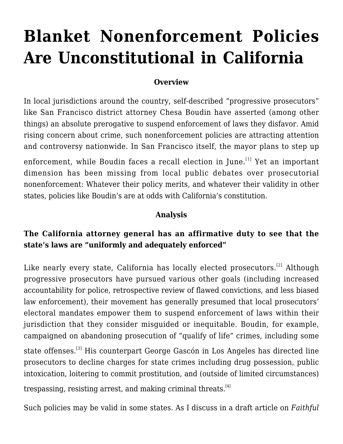# **[Blanket Nonenforcement Policies](https://scocablog.com/616-2/) [Are Unconstitutional in California](https://scocablog.com/616-2/)**

#### **Overview**

In local jurisdictions around the country, self-described "progressive prosecutors" like San Francisco district attorney Chesa Boudin have asserted (among other things) an absolute prerogative to suspend enforcement of laws they disfavor. Amid rising concern about crime, such nonenforcement policies are attracting [attention](https://www.americanprogress.org/article/progressive-prosecutors-reforming-criminal-justice/) and [controversy](https://www.wsj.com/articles/alvin-bragg-threat-to-democracy-district-attorney-crime-new-york-hochul-constitution-leftist-11643062014?mod=Searchresults_pos11&page=1) [nationwide.](https://www.city-journal.org/progressive-prosecutors-abuse-prosecutorial-discretion) In San Francisco itself, the mayor [plans](https://www.sfchronicle.com/sf/article/Mayor-Breed-is-leaning-into-a-crackdown-on-crime-16711575.php) to step up

enforcement, while Boudin faces a [recall election](https://www.sfchronicle.com/sf/article/Recall-of-District-Attorney-Chesa-Boudin-16606647.php) in June.<sup>[\[1\]](#page--1-0)</sup> Yet an important dimension has been missing from local public debates over prosecutorial nonenforcement: Whatever their policy merits, and whatever their validity in other states, policies like Boudin's are at odds with California's constitution.

#### **Analysis**

### **The California attorney general has an affirmative duty to see that the state's laws are "uniformly and adequately enforced"**

Like nearly every state, California has locally elected prosecutors.<sup>[\[2\]](#page--1-0)</sup> Although progressive prosecutors have pursued various other goals (including increased accountability for police, retrospective review of flawed convictions, and less biased law enforcement), their movement has generally presumed that local prosecutors' electoral mandates empower them to suspend enforcement of laws within their jurisdiction that they consider misguided or inequitable. Boudin, for example, [campaigned on](https://sfist.com/2019/11/16/boudin-will-not-prosecute-prostitution-public-camping-and-other-quality-of-life-crimes-once-sworn-in/) abandoning prosecution of "qualify of life" crimes, including some state offenses.<sup>[\[3\]](#page--1-0)</sup> His counterpart George Gascón in Los Angeles has [directed line](https://da.lacounty.gov/sites/default/files/pdf/SPECIAL-DIRECTIVE-20-07.pdf) [prosecutors](https://da.lacounty.gov/sites/default/files/pdf/SPECIAL-DIRECTIVE-20-07.pdf) to decline charges for state crimes including drug possession, public intoxication, loitering to commit prostitution, and (outside of limited circumstances) trespassing, resisting arrest, and making criminal threats.<sup>[\[4\]](#page--1-0)</sup>

Such policies may be valid in some states. As I discuss in a draft article on *[Faithful](https://papers.ssrn.com/sol3/papers.cfm?abstract_id=4018711)*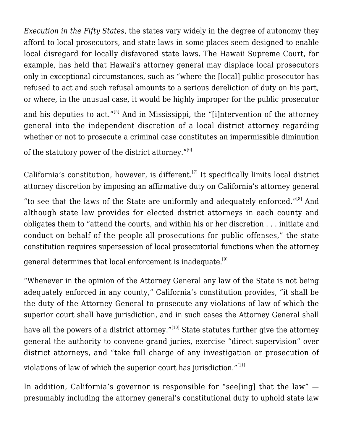*[Execution in the Fifty States](https://papers.ssrn.com/sol3/papers.cfm?abstract_id=4018711)*, the states vary widely in the degree of autonomy they afford to local prosecutors, and state laws in some places seem designed to enable local disregard for locally disfavored state laws. The Hawaii Supreme Court, for example, has held that Hawaii's attorney general may displace local prosecutors only in exceptional circumstances, such as "where the [local] public prosecutor has refused to act and such refusal amounts to a serious dereliction of duty on his part, or where, in the unusual case, it would be highly improper for the public prosecutor

and his deputies to act."<sup>[\[5\]](#page--1-0)</sup> And in Mississippi, the "[i]ntervention of the attorney general into the independent discretion of a local district attorney regarding whether or not to prosecute a criminal case constitutes an impermissible diminution

of the statutory power of the district attorney. $^{\prime\prime(6)}$ 

California's constitution, however, is different.<sup>[\[7\]](#page--1-0)</sup> It specifically limits local district attorney discretion by imposing an affirmative duty on California's attorney general

"to see that the laws of the State are uniformly and adequately enforced."[\[8\]](#page--1-0) And although state law provides for elected district attorneys in each county and obligates them to "attend the courts, and within his or her discretion . . . initiate and conduct on behalf of the people all prosecutions for public offenses," the state constitution requires supersession of local prosecutorial functions when the attorney

general determines that local enforcement is inadequate.<sup>[\[9\]](#page--1-0)</sup>

"Whenever in the opinion of the Attorney General any law of the State is not being adequately enforced in any county," California's constitution provides, "it shall be the duty of the Attorney General to prosecute any violations of law of which the superior court shall have jurisdiction, and in such cases the Attorney General shall

have all the powers of a district attorney."<sup>[\[10\]](#page--1-0)</sup> State statutes further give the attorney general the authority to convene grand juries, exercise "direct supervision" over district attorneys, and "take full charge of any investigation or prosecution of violations of law of which the superior court has jurisdiction."[\[11\]](#page--1-0)

In addition, California's governor is responsible for "see[ing] that the law"  $$ presumably including the attorney general's constitutional duty to uphold state law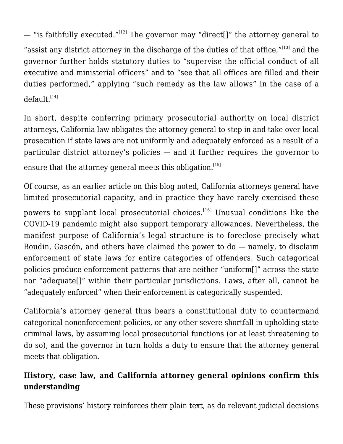— "is faithfully executed."<sup>[\[12\]](#page--1-0)</sup> The governor may "direct[]" the attorney general to "assist any district attorney in the discharge of the duties of that office, $"$ <sup>[\[13\]](#page--1-0)</sup> and the governor further holds statutory duties to "supervise the official conduct of all executive and ministerial officers" and to "see that all offices are filled and their duties performed," applying "such remedy as the law allows" in the case of a  $default.$ <sup>[\[14\]](#page--1-0)</sup>

In short, despite conferring primary prosecutorial authority on local district attorneys, California law obligates the attorney general to step in and take over local prosecution if state laws are not uniformly and adequately enforced as a result of a particular district attorney's policies — and it further requires the governor to ensure that the attorney general meets this obligation.<sup>[\[15\]](#page--1-0)</sup>

Of course, as an [earlier a](http://scocablog.com/the-attorney-generals-supervisory-power-theory-and-reality/)rticle on this blog noted, California attorneys general have limited prosecutorial capacity, and in practice they have rarely exercised these powers to supplant local prosecutorial choices.<sup>[\[16\]](#page--1-0)</sup> Unusual conditions like the COVID-19 pandemic might also support temporary allowances. Nevertheless, the manifest purpose of California's legal structure is to foreclose precisely what Boudin, Gascón, and others have claimed the power to do — namely, to disclaim enforcement of state laws for entire categories of offenders. Such categorical policies produce enforcement patterns that are neither "uniform[]" across the state nor "adequate[]" within their particular jurisdictions. Laws, after all, cannot be "adequately enforced" when their enforcement is categorically suspended.

California's attorney general thus bears a constitutional duty to countermand categorical nonenforcement policies, or any other severe shortfall in upholding state criminal laws, by assuming local prosecutorial functions (or at least threatening to do so), and the governor in turn holds a duty to ensure that the attorney general meets that obligation.

## **History, case law, and California attorney general opinions confirm this understanding**

These provisions' history reinforces their plain text, as do relevant judicial decisions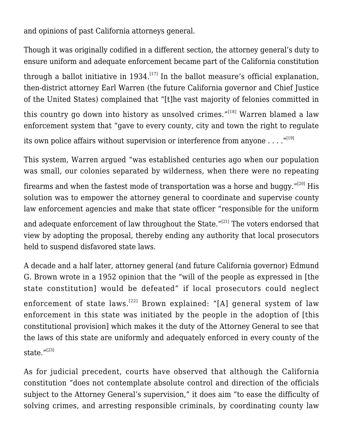and opinions of past California attorneys general.

Though it was originally codified in a different section, the attorney general's duty to ensure uniform and adequate enforcement became part of the California constitution through a ballot initiative in  $1934$ .<sup>[\[17\]](#page--1-0)</sup> In the ballot measure's [official explanation,](https://repository.uchastings.edu/ca_ballot_props/319/) then-district attorney Earl Warren (the future California governor and Chief Justice of the United States) complained that "[t]he vast majority of felonies committed in this country go down into history as unsolved crimes."<sup>[\[18\]](#page--1-0)</sup> Warren blamed a law enforcement system that "gave to every county, city and town the right to regulate its own police affairs without supervision or interference from anyone  $\dots$ ."<sup>[\[19\]](#page--1-0)</sup>

This system, Warren argued "was established centuries ago when our population was small, our colonies separated by wilderness, when there were no repeating firearms and when the fastest mode of transportation was a horse and buggy. $^{\prime\prime[20]}$  $^{\prime\prime[20]}$  $^{\prime\prime[20]}$  His solution was to empower the attorney general to coordinate and supervise county law enforcement agencies and make that state officer "responsible for the uniform and adequate enforcement of law throughout the State." $[21]$  The voters endorsed that view by adopting the proposal, thereby ending any authority that local prosecutors held to suspend disfavored state laws.

A decade and a half later, attorney general (and future California governor) Edmund G. Brown wrote in a 1952 opinion that the "will of the people as expressed in [the state constitution] would be defeated" if local prosecutors could neglect enforcement of state laws.<sup>[\[22\]](#page--1-0)</sup> Brown explained: "[A] general system of law enforcement in this state was initiated by the people in the adoption of [this constitutional provision] which makes it the duty of the Attorney General to see that the laws of this state are uniformly and adequately enforced in every county of the state."<sup>[\[23\]](#page--1-0)</sup>

As for judicial precedent, courts have observed that although the California constitution "does not contemplate absolute control and direction of the officials subject to the Attorney General's supervision," it does aim "to ease the difficulty of solving crimes, and arresting responsible criminals, by coordinating county law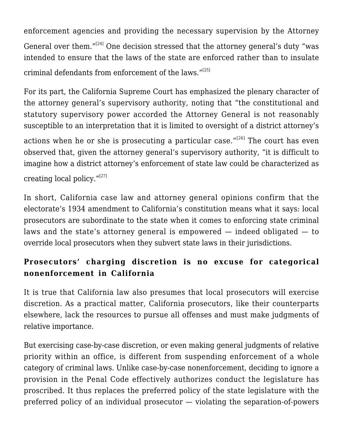enforcement agencies and providing the necessary supervision by the Attorney General over them."<sup>[\[24\]](#page--1-0)</sup> One decision stressed that the attorney general's duty "was intended to ensure that the laws of the state are enforced rather than to insulate criminal defendants from enforcement of the laws."[\[25\]](#page--1-0)

For its part, the California Supreme Court has emphasized the plenary character of the attorney general's supervisory authority, noting that "the constitutional and statutory supervisory power accorded the Attorney General is not reasonably susceptible to an interpretation that it is limited to oversight of a district attorney's

actions when he or she is prosecuting a particular case."<sup>[\[26\]](#page--1-0)</sup> The court has even observed that, given the attorney general's supervisory authority, "it is difficult to imagine how a district attorney's enforcement of state law could be characterized as creating local policy. $^{\prime\prime[27]}$  $^{\prime\prime[27]}$  $^{\prime\prime[27]}$ 

In short, California case law and attorney general opinions confirm that the electorate's 1934 amendment to California's constitution means what it says: local prosecutors are subordinate to the state when it comes to enforcing state criminal laws and the state's attorney general is empowered — indeed obligated — to override local prosecutors when they subvert state laws in their jurisdictions.

## **Prosecutors' charging discretion is no excuse for categorical nonenforcement in California**

It is true that California law also presumes that local prosecutors will exercise discretion. As a practical matter, California prosecutors, like their counterparts elsewhere, lack the resources to pursue all offenses and must make judgments of relative importance.

But exercising case-by-case discretion, or even making general judgments of relative priority within an office, is different from suspending enforcement of a whole category of criminal laws. Unlike case-by-case nonenforcement, deciding to ignore a provision in the Penal Code effectively authorizes conduct the legislature has proscribed. It thus replaces the preferred policy of the state legislature with the preferred policy of an individual prosecutor — violating the separation-of-powers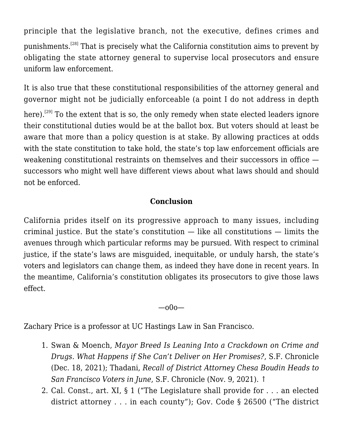principle that the legislative branch, not the executive, defines crimes and punishments.[\[28\]](#page--1-0) That is precisely what the California constitution aims to prevent by obligating the state attorney general to supervise local prosecutors and ensure uniform law enforcement.

It is also true that these constitutional responsibilities of the attorney general and governor might not be judicially enforceable (a point I do not address in depth

here).<sup>[\[29\]](#page--1-0)</sup> To the extent that is so, the only remedy when state elected leaders ignore their constitutional duties would be at the ballot box. But voters should at least be aware that more than a policy question is at stake. By allowing practices at odds with the state constitution to take hold, the state's top law enforcement officials are weakening constitutional restraints on themselves and their successors in office  $$ successors who might well have different views about what laws should and should not be enforced.

#### **Conclusion**

California prides itself on its progressive approach to many issues, including criminal justice. But the state's constitution — like all constitutions — limits the avenues through which particular reforms may be pursued. With respect to criminal justice, if the state's laws are misguided, inequitable, or unduly harsh, the state's voters and legislators can change them, as indeed they have done in recent years. In the meantime, California's constitution obligates its prosecutors to give those laws effect.

—o0o—

Zachary Price is a professor at UC Hastings Law in San Francisco.

- 1. Swan & Moench, *[Mayor Breed Is Leaning Into a Crackdown on Crime and](https://www.sfchronicle.com/sf/article/Mayor-Breed-is-leaning-into-a-crackdown-on-crime-16711575.php) [Drugs. What Happens if She Can't Deliver on Her Promises?](https://www.sfchronicle.com/sf/article/Mayor-Breed-is-leaning-into-a-crackdown-on-crime-16711575.php)*, S.F. Chronicle (Dec. 18, 2021); Thadani, *[Recall of District Attorney Chesa Boudin Heads to](https://www.sfchronicle.com/sf/article/Recall-of-District-Attorney-Chesa-Boudin-16606647.php) [San Francisco Voters in June](https://www.sfchronicle.com/sf/article/Recall-of-District-Attorney-Chesa-Boudin-16606647.php)*, S.F. Chronicle (Nov. 9, 2021). [↑](#page--1-0)
- 2. Cal. Const., art. XI, § 1 ("The Legislature shall provide for . . . an elected district attorney . . . in each county"); Gov. Code § 26500 ("The district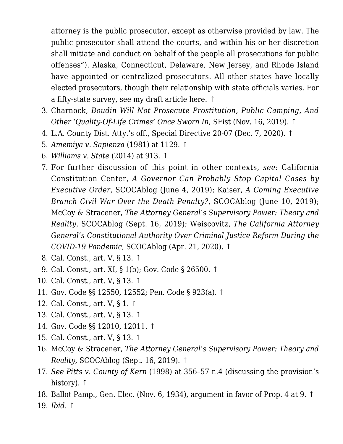attorney is the public prosecutor, except as otherwise provided by law. The public prosecutor shall attend the courts, and within his or her discretion shall initiate and conduct on behalf of the people all prosecutions for public offenses"). Alaska, Connecticut, Delaware, New Jersey, and Rhode Island have appointed or centralized prosecutors. All other states have locally elected prosecutors, though their relationship with state officials varies. For a fifty-state survey, see my draft article [here](https://papers.ssrn.com/sol3/papers.cfm?abstract_id=4018711). [↑](#page--1-0)

- 3. Charnock, *[Boudin Will Not Prosecute Prostitution, Public Camping, And](https://sfist.com/2019/11/16/boudin-will-not-prosecute-prostitution-public-camping-and-other-quality-of-life-crimes-once-sworn-in/) [Other 'Quality-Of-Life Crimes' Once Sworn In](https://sfist.com/2019/11/16/boudin-will-not-prosecute-prostitution-public-camping-and-other-quality-of-life-crimes-once-sworn-in/)*, SFist (Nov. 16, 2019). [↑](#page--1-0)
- 4. L.A. County Dist. Atty.'s off., [Special Directive 20-07](https://da.lacounty.gov/sites/default/files/pdf/SPECIAL-DIRECTIVE-20-07.pdf) (Dec. 7, 2020). [↑](#page--1-0)
- 5. *[Amemiya v. Sapienza](https://scholar.google.com/scholar_case?case=6179189481801138864&q=629+P.2d+1126&hl=en&as_sdt=2006)* [\(1981\)](https://scholar.google.com/scholar_case?case=6179189481801138864&q=629+P.2d+1126&hl=en&as_sdt=2006) at 1129. [↑](#page--1-0)
- 6. *[Williams v. State](https://scholar.google.com/scholar_case?case=1469938149923979973&q=184+So.+3d+908&hl=en&as_sdt=2006)* [\(2014\)](https://scholar.google.com/scholar_case?case=1469938149923979973&q=184+So.+3d+908&hl=en&as_sdt=2006) at 913. [↑](#page--1-0)
- 7. For further discussion of this point in other contexts, *see*: California Constitution Center, *[A Governor Can Probably Stop Capital Cases by](http://scocablog.com/a-governor-probably-can-stop-capital-cases-by-executive-order/) [Executive Order](http://scocablog.com/a-governor-probably-can-stop-capital-cases-by-executive-order/)*, SCOCAblog (June 4, 2019); Kaiser, *[A Coming Executive](http://scocablog.com/a-coming-executive-branch-civil-war-over-the-death-penalty/) [Branch Civil War Over the Death Penalty?](http://scocablog.com/a-coming-executive-branch-civil-war-over-the-death-penalty/)*, SCOCAblog (June 10, 2019); McCoy & Stracener, *[The Attorney General's Supervisory Power: Theory and](http://scocablog.com/the-attorney-generals-supervisory-power-theory-and-reality/) [Reality](http://scocablog.com/the-attorney-generals-supervisory-power-theory-and-reality/)*, SCOCAblog (Sept. 16, 2019); Weiscovitz, *[The California Attorney](http://scocablog.com/the-california-attorney-generals-constitutional-authority-over-criminal-justice-reform-during-the-covid-19-pandemic/) [General's Constitutional Authority Over Criminal Justice Reform During the](http://scocablog.com/the-california-attorney-generals-constitutional-authority-over-criminal-justice-reform-during-the-covid-19-pandemic/) [COVID-19 Pandemic](http://scocablog.com/the-california-attorney-generals-constitutional-authority-over-criminal-justice-reform-during-the-covid-19-pandemic/)*, SCOCAblog (Apr. 21, 2020). [↑](#page--1-0)
- 8. Cal. Const., art. V, § 13. [↑](#page--1-0)
- 9. Cal. Const., art. XI, § 1(b); Gov. Code § 26500. [↑](#page--1-0)
- 10. Cal. Const., art. V, § 13. [↑](#page--1-0)
- 11. Gov. Code §§ 12550, 12552; Pen. Code § 923(a). [↑](#page--1-0)
- 12. Cal. Const., art. V, § 1. [↑](#page--1-0)
- 13. Cal. Const., art. V, § 13. [↑](#page--1-0)
- 14. Gov. Code §§ 12010, 12011. [↑](#page--1-0)
- 15. Cal. Const., art. V, § 13. [↑](#page--1-0)
- 16. McCoy & Stracener, *[The Attorney General's Supervisory Power: Theory and](http://scocablog.com/the-attorney-generals-supervisory-power-theory-and-reality/) [Reality](http://scocablog.com/the-attorney-generals-supervisory-power-theory-and-reality/)*, SCOCAblog (Sept. 16, 2019). [↑](#page--1-0)
- 17. *See [Pitts v. County of Kern](https://scholar.google.com/scholar_case?case=8020361347795298058&q=949+P.2d+920&hl=en&as_sdt=2006#r[4])* [\(1998\)](https://scholar.google.com/scholar_case?case=8020361347795298058&q=949+P.2d+920&hl=en&as_sdt=2006#r[4]) at 356–57 n.4 (discussing the provision's history). [↑](#page--1-0)
- 18. Ballot Pamp., Gen. Elec. (Nov. 6, 1934), argument in favor of Prop. 4 at 9. [↑](#page--1-0)
- 19. *Ibid.* [↑](#page--1-0)